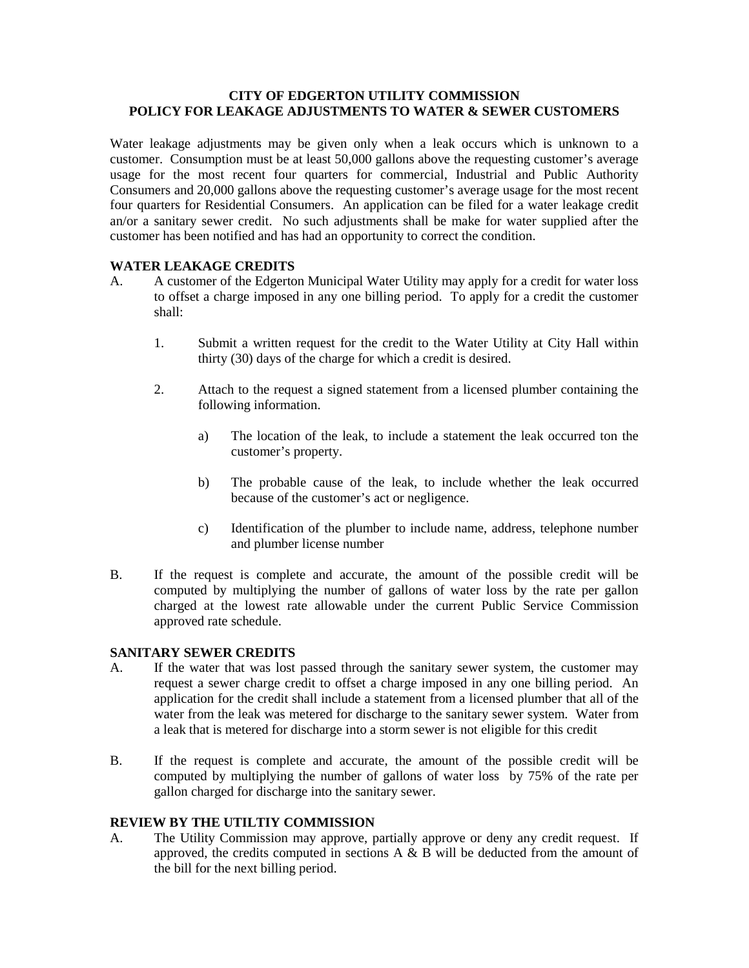## **CITY OF EDGERTON UTILITY COMMISSION POLICY FOR LEAKAGE ADJUSTMENTS TO WATER & SEWER CUSTOMERS**

Water leakage adjustments may be given only when a leak occurs which is unknown to a customer. Consumption must be at least 50,000 gallons above the requesting customer's average usage for the most recent four quarters for commercial, Industrial and Public Authority Consumers and 20,000 gallons above the requesting customer's average usage for the most recent four quarters for Residential Consumers. An application can be filed for a water leakage credit an/or a sanitary sewer credit. No such adjustments shall be make for water supplied after the customer has been notified and has had an opportunity to correct the condition.

## **WATER LEAKAGE CREDITS**

- A. A customer of the Edgerton Municipal Water Utility may apply for a credit for water loss to offset a charge imposed in any one billing period. To apply for a credit the customer shall:
	- 1. Submit a written request for the credit to the Water Utility at City Hall within thirty (30) days of the charge for which a credit is desired.
	- 2. Attach to the request a signed statement from a licensed plumber containing the following information.
		- a) The location of the leak, to include a statement the leak occurred ton the customer's property.
		- b) The probable cause of the leak, to include whether the leak occurred because of the customer's act or negligence.
		- c) Identification of the plumber to include name, address, telephone number and plumber license number
- B. If the request is complete and accurate, the amount of the possible credit will be computed by multiplying the number of gallons of water loss by the rate per gallon charged at the lowest rate allowable under the current Public Service Commission approved rate schedule.

## **SANITARY SEWER CREDITS**

- A. If the water that was lost passed through the sanitary sewer system, the customer may request a sewer charge credit to offset a charge imposed in any one billing period. An application for the credit shall include a statement from a licensed plumber that all of the water from the leak was metered for discharge to the sanitary sewer system. Water from a leak that is metered for discharge into a storm sewer is not eligible for this credit
- B. If the request is complete and accurate, the amount of the possible credit will be computed by multiplying the number of gallons of water loss by 75% of the rate per gallon charged for discharge into the sanitary sewer.

## **REVIEW BY THE UTILTIY COMMISSION**

A. The Utility Commission may approve, partially approve or deny any credit request. If approved, the credits computed in sections  $A \& B$  will be deducted from the amount of the bill for the next billing period.